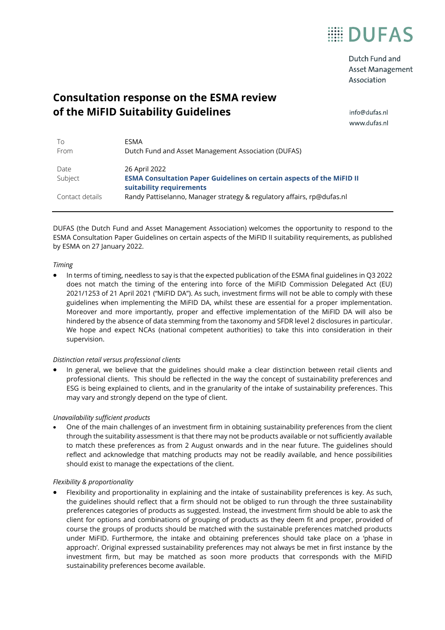

Dutch Fund and Asset Management Association

# **Consultation response on the ESMA review of the MiFID Suitability Guidelines**

info@dufas.nl www.dufas.nl

| To<br>From      | <b>FSMA</b><br>Dutch Fund and Asset Management Association (DUFAS)                                                        |
|-----------------|---------------------------------------------------------------------------------------------------------------------------|
| Date<br>Subject | 26 April 2022<br><b>ESMA Consultation Paper Guidelines on certain aspects of the MiFID II</b><br>suitability requirements |
| Contact details | Randy Pattiselanno, Manager strategy & regulatory affairs, rp@dufas.nl                                                    |

DUFAS (the Dutch Fund and Asset Management Association) welcomes the opportunity to respond to the ESMA Consultation Paper Guidelines on certain aspects of the MiFID II suitability requirements, as published by ESMA on 27 January 2022.

#### *Timing*

• In terms of timing, needless to say is that the expected publication of the ESMA final guidelines in Q3 2022 does not match the timing of the entering into force of the MiFID Commission Delegated Act (EU) 2021/1253 of 21 April 2021 ("MiFID DA"). As such, investment firms will not be able to comply with these guidelines when implementing the MiFID DA, whilst these are essential for a proper implementation. Moreover and more importantly, proper and effective implementation of the MiFID DA will also be hindered by the absence of data stemming from the taxonomy and SFDR level 2 disclosures in particular. We hope and expect NCAs (national competent authorities) to take this into consideration in their supervision.

### *Distinction retail versus professional clients*

• In general, we believe that the guidelines should make a clear distinction between retail clients and professional clients. This should be reflected in the way the concept of sustainability preferences and ESG is being explained to clients, and in the granularity of the intake of sustainability preferences. This may vary and strongly depend on the type of client.

### *Unavailability sufficient products*

• One of the main challenges of an investment firm in obtaining sustainability preferences from the client through the suitability assessment is that there may not be products available or not sufficiently available to match these preferences as from 2 August onwards and in the near future. The guidelines should reflect and acknowledge that matching products may not be readily available, and hence possibilities should exist to manage the expectations of the client.

### *Flexibility & proportionality*

• Flexibility and proportionality in explaining and the intake of sustainability preferences is key. As such, the guidelines should reflect that a firm should not be obliged to run through the three sustainability preferences categories of products as suggested. Instead, the investment firm should be able to ask the client for options and combinations of grouping of products as they deem fit and proper, provided of course the groups of products should be matched with the sustainable preferences matched products under MiFID. Furthermore, the intake and obtaining preferences should take place on a 'phase in approach'. Original expressed sustainability preferences may not always be met in first instance by the investment firm, but may be matched as soon more products that corresponds with the MiFID sustainability preferences become available.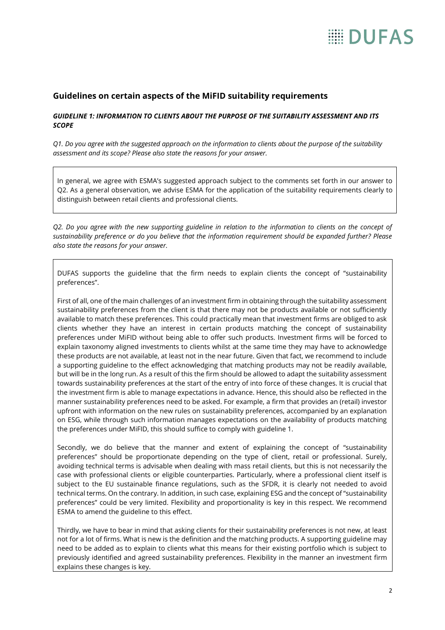# **Guidelines on certain aspects of the MiFID suitability requirements**

# *GUIDELINE 1: INFORMATION TO CLIENTS ABOUT THE PURPOSE OF THE SUITABILITY ASSESSMENT AND ITS SCOPE*

*Q1. Do you agree with the suggested approach on the information to clients about the purpose of the suitability assessment and its scope? Please also state the reasons for your answer.*

In general, we agree with ESMA's suggested approach subject to the comments set forth in our answer to Q2. As a general observation, we advise ESMA for the application of the suitability requirements clearly to distinguish between retail clients and professional clients.

*Q2. Do you agree with the new supporting guideline in relation to the information to clients on the concept of sustainability preference or do you believe that the information requirement should be expanded further? Please also state the reasons for your answer.*

DUFAS supports the guideline that the firm needs to explain clients the concept of "sustainability preferences".

First of all, one of the main challenges of an investment firm in obtaining through the suitability assessment sustainability preferences from the client is that there may not be products available or not sufficiently available to match these preferences. This could practically mean that investment firms are obliged to ask clients whether they have an interest in certain products matching the concept of sustainability preferences under MiFID without being able to offer such products. Investment firms will be forced to explain taxonomy aligned investments to clients whilst at the same time they may have to acknowledge these products are not available, at least not in the near future. Given that fact, we recommend to include a supporting guideline to the effect acknowledging that matching products may not be readily available, but will be in the long run. As a result of this the firm should be allowed to adapt the suitability assessment towards sustainability preferences at the start of the entry of into force of these changes. It is crucial that the investment firm is able to manage expectations in advance. Hence, this should also be reflected in the manner sustainability preferences need to be asked. For example, a firm that provides an (retail) investor upfront with information on the new rules on sustainability preferences, accompanied by an explanation on ESG, while through such information manages expectations on the availability of products matching the preferences under MiFID, this should suffice to comply with guideline 1.

Secondly, we do believe that the manner and extent of explaining the concept of "sustainability preferences" should be proportionate depending on the type of client, retail or professional. Surely, avoiding technical terms is advisable when dealing with mass retail clients, but this is not necessarily the case with professional clients or eligible counterparties. Particularly, where a professional client itself is subject to the EU sustainable finance regulations, such as the SFDR, it is clearly not needed to avoid technical terms. On the contrary. In addition, in such case, explaining ESG and the concept of "sustainability preferences" could be very limited. Flexibility and proportionality is key in this respect. We recommend ESMA to amend the guideline to this effect.

Thirdly, we have to bear in mind that asking clients for their sustainability preferences is not new, at least not for a lot of firms. What is new is the definition and the matching products. A supporting guideline may need to be added as to explain to clients what this means for their existing portfolio which is subject to previously identified and agreed sustainability preferences. Flexibility in the manner an investment firm explains these changes is key.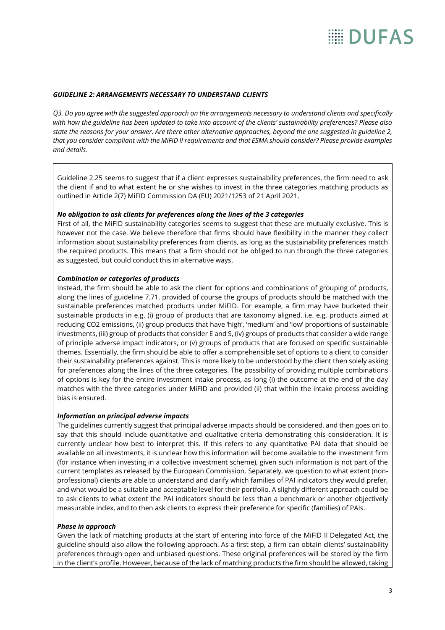#### *GUIDELINE 2: ARRANGEMENTS NECESSARY TO UNDERSTAND CLIENTS*

*Q3. Do you agree with the suggested approach on the arrangements necessary to understand clients and specifically with how the guideline has been updated to take into account of the clients' sustainability preferences? Please also state the reasons for your answer. Are there other alternative approaches, beyond the one suggested in guideline 2, that you consider compliant with the MiFID II requirements and that ESMA should consider? Please provide examples and details.*

Guideline 2.25 seems to suggest that if a client expresses sustainability preferences, the firm need to ask the client if and to what extent he or she wishes to invest in the three categories matching products as outlined in Article 2(7) MiFID Commission DA (EU) 2021/1253 of 21 April 2021.

### *No obligation to ask clients for preferences along the lines of the 3 categories*

First of all, the MiFID sustainability categories seems to suggest that these are mutually exclusive. This is however not the case. We believe therefore that firms should have flexibility in the manner they collect information about sustainability preferences from clients, as long as the sustainability preferences match the required products. This means that a firm should not be obliged to run through the three categories as suggested, but could conduct this in alternative ways.

### *Combination or categories of products*

Instead, the firm should be able to ask the client for options and combinations of grouping of products, along the lines of guideline 7.71, provided of course the groups of products should be matched with the sustainable preferences matched products under MiFID. For example, a firm may have bucketed their sustainable products in e.g. (i) group of products that are taxonomy aligned. i.e. e.g. products aimed at reducing CO2 emissions, (ii) group products that have 'high', 'medium' and 'low' proportions of sustainable investments, (iii) group of products that consider E and S, (iv) groups of products that consider a wide range of principle adverse impact indicators, or (v) groups of products that are focused on specific sustainable themes. Essentially, the firm should be able to offer a comprehensible set of options to a client to consider their sustainability preferences against. This is more likely to be understood by the client then solely asking for preferences along the lines of the three categories. The possibility of providing multiple combinations of options is key for the entire investment intake process, as long (i) the outcome at the end of the day matches with the three categories under MiFID and provided (ii) that within the intake process avoiding bias is ensured.

#### *Information on principal adverse impacts*

The guidelines currently suggest that principal adverse impacts should be considered, and then goes on to say that this should include quantitative and qualitative criteria demonstrating this consideration. It is currently unclear how best to interpret this. If this refers to any quantitative PAI data that should be available on all investments, it is unclear how this information will become available to the investment firm (for instance when investing in a collective investment scheme), given such information is not part of the current templates as released by the European Commission. Separately, we question to what extent (nonprofessional) clients are able to understand and clarify which families of PAI indicators they would prefer, and what would be a suitable and acceptable level for their portfolio. A slightly different approach could be to ask clients to what extent the PAI indicators should be less than a benchmark or another objectively measurable index, and to then ask clients to express their preference for specific (families) of PAIs.

### *Phase in approach*

Given the lack of matching products at the start of entering into force of the MiFID II Delegated Act, the guideline should also allow the following approach. As a first step, a firm can obtain clients' sustainability preferences through open and unbiased questions. These original preferences will be stored by the firm in the client's profile. However, because of the lack of matching products the firm should be allowed, taking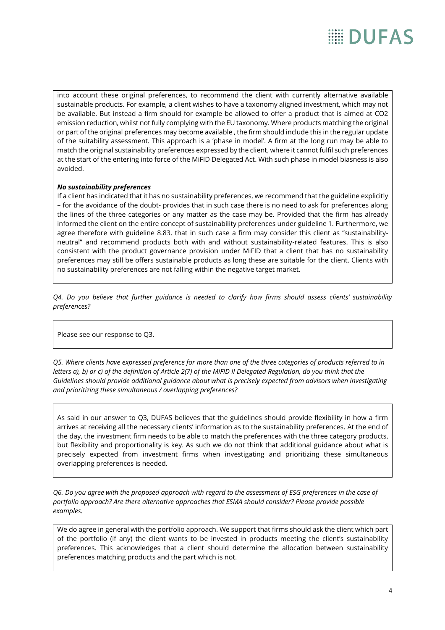into account these original preferences, to recommend the client with currently alternative available sustainable products. For example, a client wishes to have a taxonomy aligned investment, which may not be available. But instead a firm should for example be allowed to offer a product that is aimed at CO2 emission reduction, whilst not fully complying with the EU taxonomy. Where products matching the original or part of the original preferences may become available , the firm should include this in the regular update of the suitability assessment. This approach is a 'phase in model'. A firm at the long run may be able to match the original sustainability preferences expressed by the client, where it cannot fulfil such preferences at the start of the entering into force of the MiFID Delegated Act. With such phase in model biasness is also avoided.

# *No sustainability preferences*

If a client has indicated that it has no sustainability preferences, we recommend that the guideline explicitly – for the avoidance of the doubt- provides that in such case there is no need to ask for preferences along the lines of the three categories or any matter as the case may be. Provided that the firm has already informed the client on the entire concept of sustainability preferences under guideline 1. Furthermore, we agree therefore with guideline 8.83. that in such case a firm may consider this client as "sustainabilityneutral" and recommend products both with and without sustainability-related features. This is also consistent with the product governance provision under MiFID that a client that has no sustainability preferences may still be offers sustainable products as long these are suitable for the client. Clients with no sustainability preferences are not falling within the negative target market.

*Q4. Do you believe that further guidance is needed to clarify how firms should assess clients' sustainability preferences?*

Please see our response to Q3.

*Q5. Where clients have expressed preference for more than one of the three categories of products referred to in letters a), b) or c) of the definition of Article 2(7) of the MiFID II Delegated Regulation, do you think that the Guidelines should provide additional guidance about what is precisely expected from advisors when investigating and prioritizing these simultaneous / overlapping preferences?*

As said in our answer to Q3, DUFAS believes that the guidelines should provide flexibility in how a firm arrives at receiving all the necessary clients' information as to the sustainability preferences. At the end of the day, the investment firm needs to be able to match the preferences with the three category products, but flexibility and proportionality is key. As such we do not think that additional guidance about what is precisely expected from investment firms when investigating and prioritizing these simultaneous overlapping preferences is needed.

*Q6. Do you agree with the proposed approach with regard to the assessment of ESG preferences in the case of portfolio approach? Are there alternative approaches that ESMA should consider? Please provide possible examples.*

We do agree in general with the portfolio approach. We support that firms should ask the client which part of the portfolio (if any) the client wants to be invested in products meeting the client's sustainability preferences. This acknowledges that a client should determine the allocation between sustainability preferences matching products and the part which is not.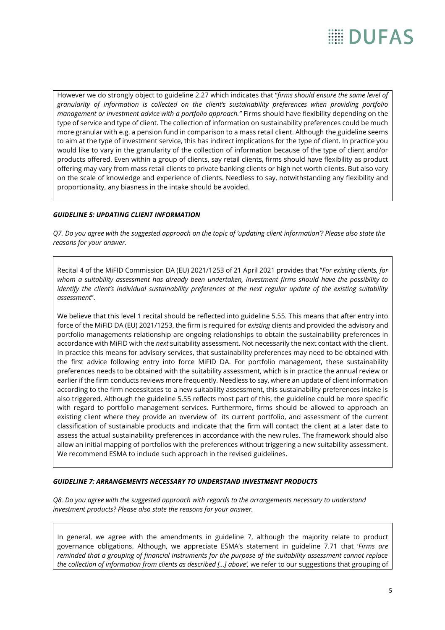However we do strongly object to guideline 2.27 which indicates that "*firms should ensure the same level of granularity of information is collected on the client's sustainability preferences when providing portfolio management or investment advice with a portfolio approach."* Firms should have flexibility depending on the type of service and type of client. The collection of information on sustainability preferences could be much more granular with e.g. a pension fund in comparison to a mass retail client. Although the guideline seems to aim at the type of investment service, this has indirect implications for the type of client. In practice you would like to vary in the granularity of the collection of information because of the type of client and/or products offered. Even within a group of clients, say retail clients, firms should have flexibility as product offering may vary from mass retail clients to private banking clients or high net worth clients. But also vary on the scale of knowledge and experience of clients. Needless to say, notwithstanding any flexibility and proportionality, any biasness in the intake should be avoided.

# *GUIDELINE 5: UPDATING CLIENT INFORMATION*

*Q7. Do you agree with the suggested approach on the topic of 'updating client information'? Please also state the reasons for your answer.*

Recital 4 of the MiFID Commission DA (EU) 2021/1253 of 21 April 2021 provides that "*For existing clients, for whom a suitability assessment has already been undertaken, investment firms should have the possibility to identify the client's individual sustainability preferences at the next regular update of the existing suitability assessment*".

We believe that this level 1 recital should be reflected into guideline 5.55. This means that after entry into force of the MiFID DA (EU) 2021/1253, the firm is required for *existing* clients and provided the advisory and portfolio managements relationship are ongoing relationships to obtain the sustainability preferences in accordance with MiFID with the *next* suitability assessment. Not necessarily the next contact with the client. In practice this means for advisory services, that sustainability preferences may need to be obtained with the first advice following entry into force MiFID DA. For portfolio management, these sustainability preferences needs to be obtained with the suitability assessment, which is in practice the annual review or earlier if the firm conducts reviews more frequently. Needless to say, where an update of client information according to the firm necessitates to a new suitability assessment, this sustainability preferences intake is also triggered. Although the guideline 5.55 reflects most part of this, the guideline could be more specific with regard to portfolio management services. Furthermore, firms should be allowed to approach an existing client where they provide an overview of its current portfolio, and assessment of the current classification of sustainable products and indicate that the firm will contact the client at a later date to assess the actual sustainability preferences in accordance with the new rules. The framework should also allow an initial mapping of portfolios with the preferences without triggering a new suitability assessment. We recommend ESMA to include such approach in the revised guidelines.

# *GUIDELINE 7: ARRANGEMENTS NECESSARY TO UNDERSTAND INVESTMENT PRODUCTS*

*Q8. Do you agree with the suggested approach with regards to the arrangements necessary to understand investment products? Please also state the reasons for your answer.*

In general, we agree with the amendments in guideline 7, although the majority relate to product governance obligations. Although, we appreciate ESMA's statement in guideline 7.71 that '*Firms are reminded that a grouping of financial instruments for the purpose of the suitability assessment cannot replace the collection of information from clients as described […] above',* we refer to our suggestions that grouping of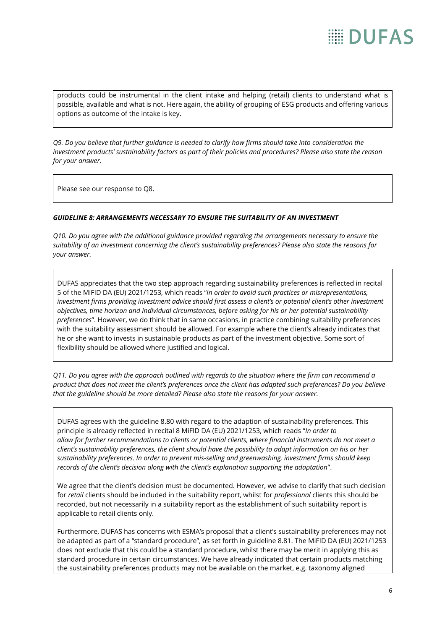# **EE DIJFAS**

products could be instrumental in the client intake and helping (retail) clients to understand what is possible, available and what is not. Here again, the ability of grouping of ESG products and offering various options as outcome of the intake is key.

*Q9. Do you believe that further guidance is needed to clarify how firms should take into consideration the investment products' sustainability factors as part of their policies and procedures? Please also state the reason for your answer.*

Please see our response to Q8.

### *GUIDELINE 8: ARRANGEMENTS NECESSARY TO ENSURE THE SUITABILITY OF AN INVESTMENT*

*Q10. Do you agree with the additional guidance provided regarding the arrangements necessary to ensure the suitability of an investment concerning the client's sustainability preferences? Please also state the reasons for your answer.*

DUFAS appreciates that the two step approach regarding sustainability preferences is reflected in recital 5 of the MiFID DA (EU) 2021/1253, which reads "*In order to avoid such practices or misrepresentations,*  investment firms providing investment advice should first assess a client's or potential client's other investment *objectives, time horizon and individual circumstances, before asking for his or her potential sustainability preferences*". However, we do think that in same occasions, in practice combining suitability preferences with the suitability assessment should be allowed. For example where the client's already indicates that he or she want to invests in sustainable products as part of the investment objective. Some sort of flexibility should be allowed where justified and logical.

*Q11. Do you agree with the approach outlined with regards to the situation where the firm can recommend a product that does not meet the client's preferences once the client has adapted such preferences? Do you believe that the guideline should be more detailed? Please also state the reasons for your answer.*

DUFAS agrees with the guideline 8.80 with regard to the adaption of sustainability preferences. This principle is already reflected in recital 8 MiFID DA (EU) 2021/1253, which reads "*In order to allow for further recommendations to clients or potential clients, where financial instruments do not meet a client's sustainability preferences, the client should have the possibility to adapt information on his or her sustainability preferences. In order to prevent mis-selling and greenwashing, investment firms should keep records of the client's decision along with the client's explanation supporting the adaptation*".

We agree that the client's decision must be documented. However, we advise to clarify that such decision for *retail* clients should be included in the suitability report, whilst for *professional* clients this should be recorded, but not necessarily in a suitability report as the establishment of such suitability report is applicable to retail clients only.

Furthermore, DUFAS has concerns with ESMA's proposal that a client's sustainability preferences may not be adapted as part of a "standard procedure", as set forth in guideline 8.81. The MiFID DA (EU) 2021/1253 does not exclude that this could be a standard procedure, whilst there may be merit in applying this as standard procedure in certain circumstances. We have already indicated that certain products matching the sustainability preferences products may not be available on the market, e.g. taxonomy aligned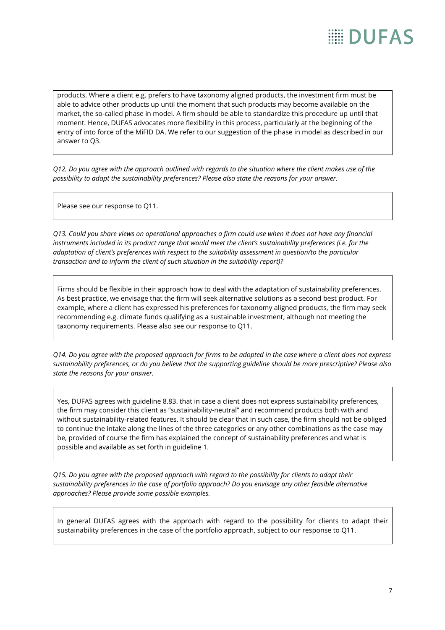products. Where a client e.g. prefers to have taxonomy aligned products, the investment firm must be able to advice other products up until the moment that such products may become available on the market, the so-called phase in model. A firm should be able to standardize this procedure up until that moment. Hence, DUFAS advocates more flexibility in this process, particularly at the beginning of the entry of into force of the MiFID DA. We refer to our suggestion of the phase in model as described in our answer to Q3.

*Q12. Do you agree with the approach outlined with regards to the situation where the client makes use of the possibility to adapt the sustainability preferences? Please also state the reasons for your answer.*

Please see our response to Q11.

*Q13. Could you share views on operational approaches a firm could use when it does not have any financial instruments included in its product range that would meet the client's sustainability preferences (i.e. for the adaptation of client's preferences with respect to the suitability assessment in question/to the particular transaction and to inform the client of such situation in the suitability report)?*

Firms should be flexible in their approach how to deal with the adaptation of sustainability preferences. As best practice, we envisage that the firm will seek alternative solutions as a second best product. For example, where a client has expressed his preferences for taxonomy aligned products, the firm may seek recommending e.g. climate funds qualifying as a sustainable investment, although not meeting the taxonomy requirements. Please also see our response to Q11.

*Q14. Do you agree with the proposed approach for firms to be adopted in the case where a client does not express sustainability preferences, or do you believe that the supporting guideline should be more prescriptive? Please also state the reasons for your answer.*

Yes, DUFAS agrees with guideline 8.83. that in case a client does not express sustainability preferences, the firm may consider this client as "sustainability-neutral" and recommend products both with and without sustainability-related features. It should be clear that in such case, the firm should not be obliged to continue the intake along the lines of the three categories or any other combinations as the case may be, provided of course the firm has explained the concept of sustainability preferences and what is possible and available as set forth in guideline 1.

*Q15. Do you agree with the proposed approach with regard to the possibility for clients to adapt their sustainability preferences in the case of portfolio approach? Do you envisage any other feasible alternative approaches? Please provide some possible examples.*

In general DUFAS agrees with the approach with regard to the possibility for clients to adapt their sustainability preferences in the case of the portfolio approach, subject to our response to Q11.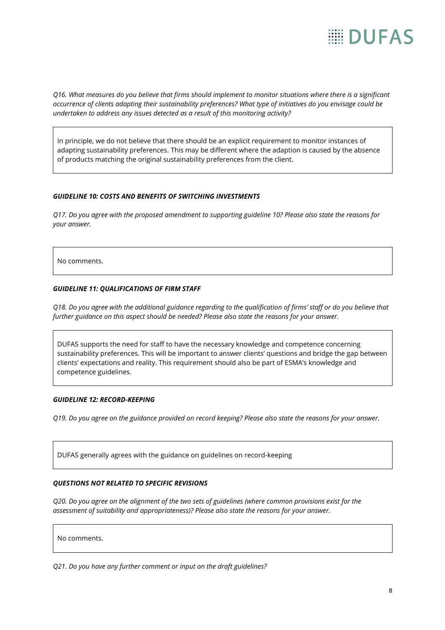# **EE DIJFAS**

*Q16. What measures do you believe that firms should implement to monitor situations where there is a significant occurrence of clients adapting their sustainability preferences? What type of initiatives do you envisage could be undertaken to address any issues detected as a result of this monitoring activity?*

In principle, we do not believe that there should be an explicit requirement to monitor instances of adapting sustainability preferences. This may be different where the adaption is caused by the absence of products matching the original sustainability preferences from the client.

# *GUIDELINE 10: COSTS AND BENEFITS OF SWITCHING INVESTMENTS*

*Q17. Do you agree with the proposed amendment to supporting guideline 10? Please also state the reasons for your answer.*

No comments.

# *GUIDELINE 11: QUALIFICATIONS OF FIRM STAFF*

*Q18. Do you agree with the additional guidance regarding to the qualification of firms' staff or do you believe that further guidance on this aspect should be needed? Please also state the reasons for your answer.*

DUFAS supports the need for staff to have the necessary knowledge and competence concerning sustainability preferences. This will be important to answer clients' questions and bridge the gap between clients' expectations and reality. This requirement should also be part of ESMA's knowledge and competence guidelines.

### *GUIDELINE 12: RECORD-KEEPING*

*Q19. Do you agree on the guidance provided on record keeping? Please also state the reasons for your answer.*

DUFAS generally agrees with the guidance on guidelines on record-keeping

### *QUESTIONS NOT RELATED TO SPECIFIC REVISIONS*

*Q20. Do you agree on the alignment of the two sets of guidelines (where common provisions exist for the assessment of suitability and appropriateness)? Please also state the reasons for your answer.*

No comments.

*Q21. Do you have any further comment or input on the draft guidelines?*